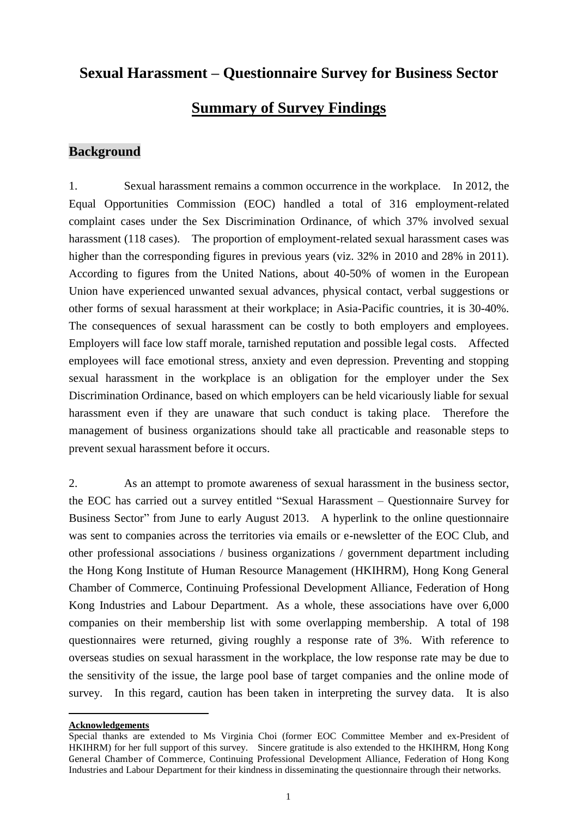# **Sexual Harassment – Questionnaire Survey for Business Sector**

## **Summary of Survey Findings**

#### **Background**

1. Sexual harassment remains a common occurrence in the workplace. In 2012, the Equal Opportunities Commission (EOC) handled a total of 316 employment-related complaint cases under the Sex Discrimination Ordinance, of which 37% involved sexual harassment (118 cases). The proportion of employment-related sexual harassment cases was higher than the corresponding figures in previous years (viz. 32% in 2010 and 28% in 2011). [According to figures](http://endviolence.un.org/pdf/pressmaterials/unite_the_situation_en.pdf) from the United Nations, about 40-50% of women in the European Union have experienced unwanted sexual advances, physical contact, verbal suggestions or other forms of sexual harassment at their workplace; in Asia-Pacific countries, it is 30-40%. The consequences of sexual harassment can be costly to both employers and employees. Employers will face low staff morale, tarnished reputation and possible legal costs. Affected employees will face emotional stress, anxiety and even depression. Preventing and stopping sexual harassment in the workplace is an obligation for the employer under the Sex Discrimination Ordinance, based on which employers can be held vicariously liable for sexual harassment even if they are unaware that such conduct is taking place. Therefore the management of business organizations should take all practicable and reasonable steps to prevent sexual harassment before it occurs.

2. As an attempt to promote awareness of sexual harassment in the business sector, the EOC has carried out a survey entitled "Sexual Harassment – Questionnaire Survey for Business Sector" from June to early August 2013. A hyperlink to the online questionnaire was sent to companies across the territories via emails or e-newsletter of the EOC Club, and other professional associations / business organizations / government department including the Hong Kong Institute of Human Resource Management (HKIHRM), Hong Kong General Chamber of Commerce, Continuing Professional Development Alliance, Federation of Hong Kong Industries and Labour Department. As a whole, these associations have over 6,000 companies on their membership list with some overlapping membership. A total of 198 questionnaires were returned, giving roughly a response rate of 3%. With reference to overseas studies on sexual harassment in the workplace, the low response rate may be due to the sensitivity of the issue, the large pool base of target companies and the online mode of survey. In this regard, caution has been taken in interpreting the survey data. It is also

 $\overline{a}$ **Acknowledgements**

Special thanks are extended to Ms Virginia Choi (former EOC Committee Member and ex-President of HKIHRM) for her full support of this survey. Sincere gratitude is also extended to the HKIHRM, Hong Kong General Chamber of Commerce, Continuing Professional Development Alliance, Federation of Hong Kong Industries and Labour Department for their kindness in disseminating the questionnaire through their networks.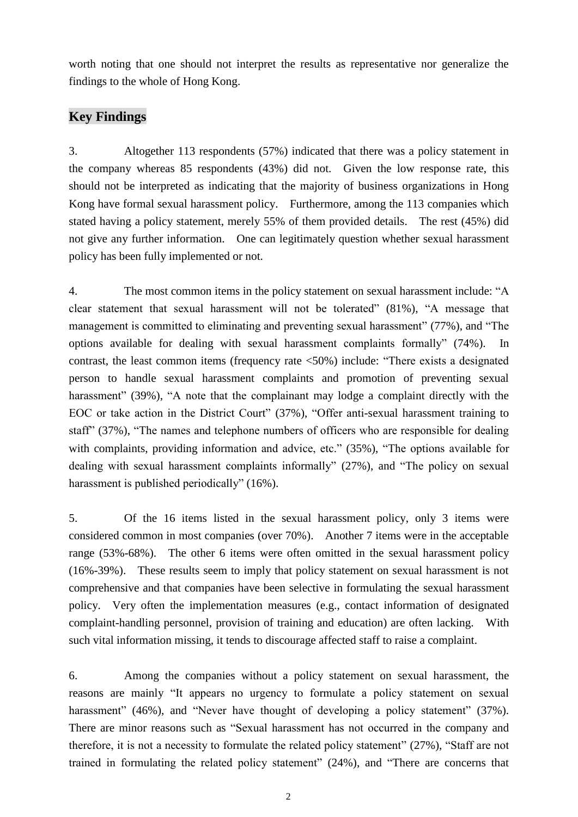worth noting that one should not interpret the results as representative nor generalize the findings to the whole of Hong Kong.

#### **Key Findings**

3. Altogether 113 respondents (57%) indicated that there was a policy statement in the company whereas 85 respondents (43%) did not. Given the low response rate, this should not be interpreted as indicating that the majority of business organizations in Hong Kong have formal sexual harassment policy. Furthermore, among the 113 companies which stated having a policy statement, merely 55% of them provided details. The rest (45%) did not give any further information. One can legitimately question whether sexual harassment policy has been fully implemented or not.

4. The most common items in the policy statement on sexual harassment include: "A clear statement that sexual harassment will not be tolerated" (81%), "A message that management is committed to eliminating and preventing sexual harassment" (77%), and "The options available for dealing with sexual harassment complaints formally" (74%). contrast, the least common items (frequency rate <50%) include: "There exists a designated person to handle sexual harassment complaints and promotion of preventing sexual harassment" (39%), "A note that the complainant may lodge a complaint directly with the EOC or take action in the District Court" (37%), "Offer anti-sexual harassment training to staff" (37%), "The names and telephone numbers of officers who are responsible for dealing with complaints, providing information and advice, etc." (35%), "The options available for dealing with sexual harassment complaints informally" (27%), and "The policy on sexual harassment is published periodically" (16%).

5. Of the 16 items listed in the sexual harassment policy, only 3 items were considered common in most companies (over 70%). Another 7 items were in the acceptable range (53%-68%). The other 6 items were often omitted in the sexual harassment policy (16%-39%). These results seem to imply that policy statement on sexual harassment is not comprehensive and that companies have been selective in formulating the sexual harassment policy. Very often the implementation measures (e.g., contact information of designated complaint-handling personnel, provision of training and education) are often lacking. With such vital information missing, it tends to discourage affected staff to raise a complaint.

6. Among the companies without a policy statement on sexual harassment, the reasons are mainly "It appears no urgency to formulate a policy statement on sexual harassment" (46%), and "Never have thought of developing a policy statement" (37%). There are minor reasons such as "Sexual harassment has not occurred in the company and therefore, it is not a necessity to formulate the related policy statement" (27%), "Staff are not trained in formulating the related policy statement" (24%), and "There are concerns that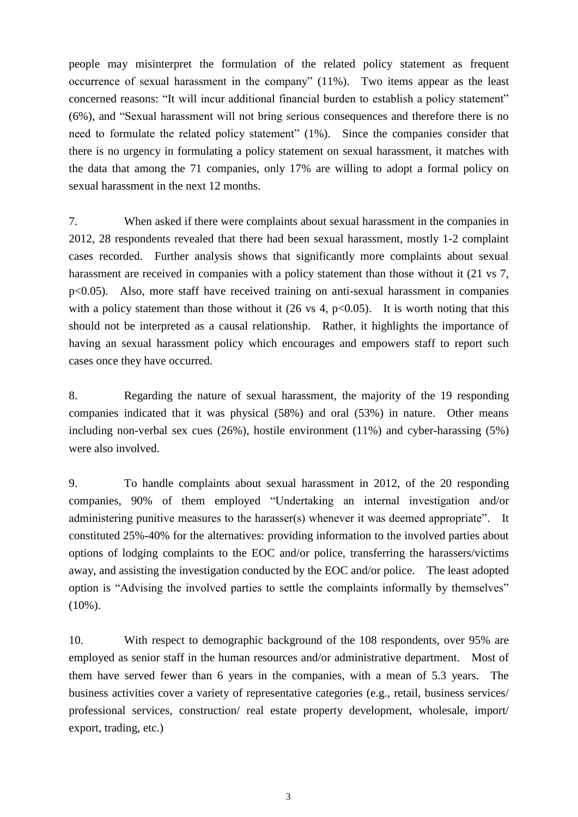people may misinterpret the formulation of the related policy statement as frequent occurrence of sexual harassment in the company" (11%). Two items appear as the least concerned reasons: "It will incur additional financial burden to establish a policy statement" (6%), and "Sexual harassment will not bring serious consequences and therefore there is no need to formulate the related policy statement" (1%). Since the companies consider that there is no urgency in formulating a policy statement on sexual harassment, it matches with the data that among the 71 companies, only 17% are willing to adopt a formal policy on sexual harassment in the next 12 months.

7. When asked if there were complaints about sexual harassment in the companies in 2012, 28 respondents revealed that there had been sexual harassment, mostly 1-2 complaint cases recorded. Further analysis shows that significantly more complaints about sexual harassment are received in companies with a policy statement than those without it (21 vs 7, p<0.05). Also, more staff have received training on anti-sexual harassment in companies with a policy statement than those without it (26 vs 4,  $p<0.05$ ). It is worth noting that this should not be interpreted as a causal relationship. Rather, it highlights the importance of having an sexual harassment policy which encourages and empowers staff to report such cases once they have occurred.

8. Regarding the nature of sexual harassment, the majority of the 19 responding companies indicated that it was physical (58%) and oral (53%) in nature. Other means including non-verbal sex cues (26%), hostile environment (11%) and cyber-harassing (5%) were also involved.

9. To handle complaints about sexual harassment in 2012, of the 20 responding companies, 90% of them employed "Undertaking an internal investigation and/or administering punitive measures to the harasser(s) whenever it was deemed appropriate". It constituted 25%-40% for the alternatives: providing information to the involved parties about options of lodging complaints to the EOC and/or police, transferring the harassers/victims away, and assisting the investigation conducted by the EOC and/or police. The least adopted option is "Advising the involved parties to settle the complaints informally by themselves" (10%).

10. With respect to demographic background of the 108 respondents, over 95% are employed as senior staff in the human resources and/or administrative department. Most of them have served fewer than 6 years in the companies, with a mean of 5.3 years. The business activities cover a variety of representative categories (e.g., retail, business services/ professional services, construction/ real estate property development, wholesale, import/ export, trading, etc.)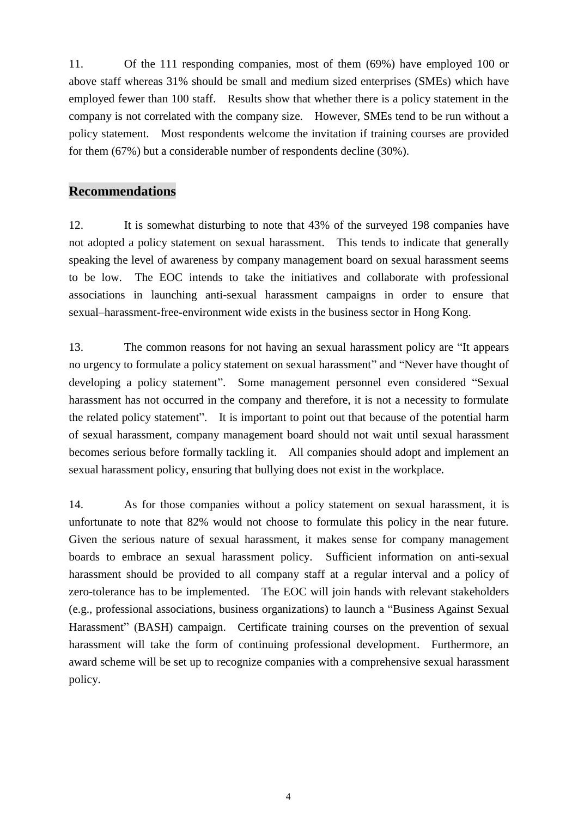11. Of the 111 responding companies, most of them (69%) have employed 100 or above staff whereas 31% should be small and medium sized enterprises (SMEs) which have employed fewer than 100 staff. Results show that whether there is a policy statement in the company is not correlated with the company size. However, SMEs tend to be run without a policy statement. Most respondents welcome the invitation if training courses are provided for them (67%) but a considerable number of respondents decline (30%).

#### **Recommendations**

12. It is somewhat disturbing to note that 43% of the surveyed 198 companies have not adopted a policy statement on sexual harassment. This tends to indicate that generally speaking the level of awareness by company management board on sexual harassment seems to be low. The EOC intends to take the initiatives and collaborate with professional associations in launching anti-sexual harassment campaigns in order to ensure that sexual–harassment-free-environment wide exists in the business sector in Hong Kong.

13. The common reasons for not having an sexual harassment policy are "It appears no urgency to formulate a policy statement on sexual harassment" and "Never have thought of developing a policy statement". Some management personnel even considered "Sexual harassment has not occurred in the company and therefore, it is not a necessity to formulate the related policy statement". It is important to point out that because of the potential harm of sexual harassment, company management board should not wait until sexual harassment becomes serious before formally tackling it. All companies should adopt and implement an sexual harassment policy, ensuring that bullying does not exist in the workplace.

14. As for those companies without a policy statement on sexual harassment, it is unfortunate to note that 82% would not choose to formulate this policy in the near future. Given the serious nature of sexual harassment, it makes sense for company management boards to embrace an sexual harassment policy. Sufficient information on anti-sexual harassment should be provided to all company staff at a regular interval and a policy of zero-tolerance has to be implemented. The EOC will join hands with relevant stakeholders (e.g., professional associations, business organizations) to launch a "Business Against Sexual Harassment" (BASH) campaign. Certificate training courses on the prevention of sexual harassment will take the form of continuing professional development. Furthermore, an award scheme will be set up to recognize companies with a comprehensive sexual harassment policy.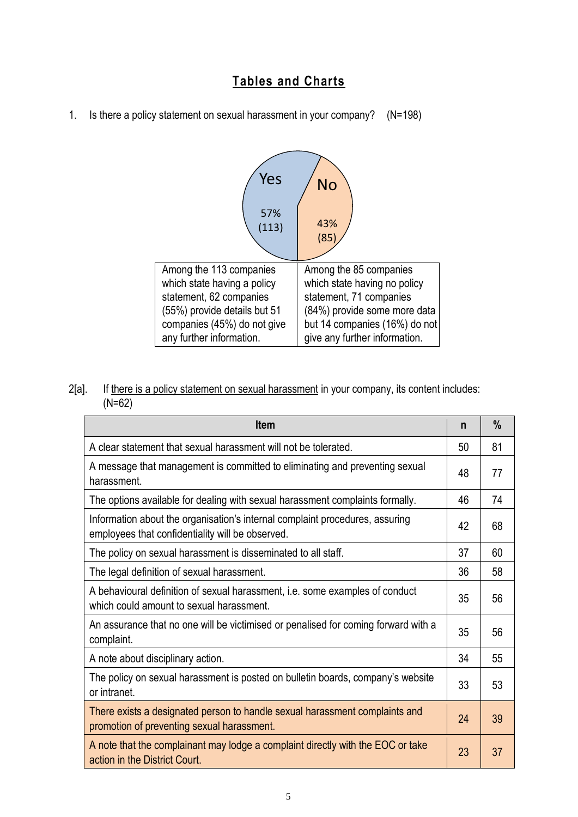## **Tables and Charts**

1. Is there a policy statement on sexual harassment in your company? (N=198)



2[a]. If there is a policy statement on sexual harassment in your company, its content includes: (N=62)

| <b>Item</b>                                                                                                                      |    | $\frac{0}{0}$ |
|----------------------------------------------------------------------------------------------------------------------------------|----|---------------|
| A clear statement that sexual harassment will not be tolerated.                                                                  | 50 | 81            |
| A message that management is committed to eliminating and preventing sexual<br>harassment.                                       |    | 77            |
| The options available for dealing with sexual harassment complaints formally.                                                    |    | 74            |
| Information about the organisation's internal complaint procedures, assuring<br>employees that confidentiality will be observed. |    | 68            |
| The policy on sexual harassment is disseminated to all staff.                                                                    |    | 60            |
| The legal definition of sexual harassment.                                                                                       |    | 58            |
| A behavioural definition of sexual harassment, i.e. some examples of conduct<br>which could amount to sexual harassment.         |    | 56            |
| An assurance that no one will be victimised or penalised for coming forward with a<br>complaint.                                 |    | 56            |
| A note about disciplinary action.                                                                                                |    | 55            |
| The policy on sexual harassment is posted on bulletin boards, company's website<br>or intranet.                                  |    | 53            |
| There exists a designated person to handle sexual harassment complaints and<br>promotion of preventing sexual harassment.        | 24 | 39            |
| A note that the complainant may lodge a complaint directly with the EOC or take<br>action in the District Court.                 | 23 | 37            |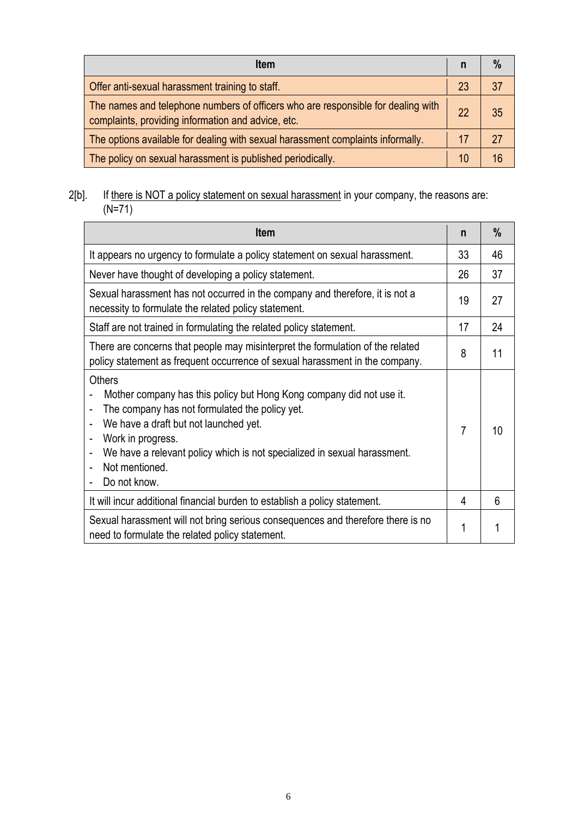| <b>Item</b>                                                                                                                            |    | $\%$ |
|----------------------------------------------------------------------------------------------------------------------------------------|----|------|
| Offer anti-sexual harassment training to staff.                                                                                        | 23 | 37   |
| The names and telephone numbers of officers who are responsible for dealing with<br>complaints, providing information and advice, etc. | 22 | 35   |
| The options available for dealing with sexual harassment complaints informally.                                                        | 17 | 27   |
| The policy on sexual harassment is published periodically.                                                                             | 10 | 16   |

#### 2[b]. If there is NOT a policy statement on sexual harassment in your company, the reasons are: (N=71)

| <b>Item</b>                                                                                                                                                                                                                                                                                                                                                               |   | $\%$ |
|---------------------------------------------------------------------------------------------------------------------------------------------------------------------------------------------------------------------------------------------------------------------------------------------------------------------------------------------------------------------------|---|------|
| It appears no urgency to formulate a policy statement on sexual harassment.                                                                                                                                                                                                                                                                                               |   | 46   |
| Never have thought of developing a policy statement.                                                                                                                                                                                                                                                                                                                      |   | 37   |
| Sexual harassment has not occurred in the company and therefore, it is not a<br>necessity to formulate the related policy statement.                                                                                                                                                                                                                                      |   | 27   |
| Staff are not trained in formulating the related policy statement.                                                                                                                                                                                                                                                                                                        |   | 24   |
| There are concerns that people may misinterpret the formulation of the related<br>policy statement as frequent occurrence of sexual harassment in the company.                                                                                                                                                                                                            |   | 11   |
| <b>Others</b><br>Mother company has this policy but Hong Kong company did not use it.<br>The company has not formulated the policy yet.<br>$\blacksquare$<br>We have a draft but not launched yet.<br>$\blacksquare$<br>Work in progress.<br>We have a relevant policy which is not specialized in sexual harassment.<br>$\blacksquare$<br>Not mentioned.<br>Do not know. |   | 10   |
| It will incur additional financial burden to establish a policy statement.                                                                                                                                                                                                                                                                                                | 4 | 6    |
| Sexual harassment will not bring serious consequences and therefore there is no<br>need to formulate the related policy statement.                                                                                                                                                                                                                                        |   |      |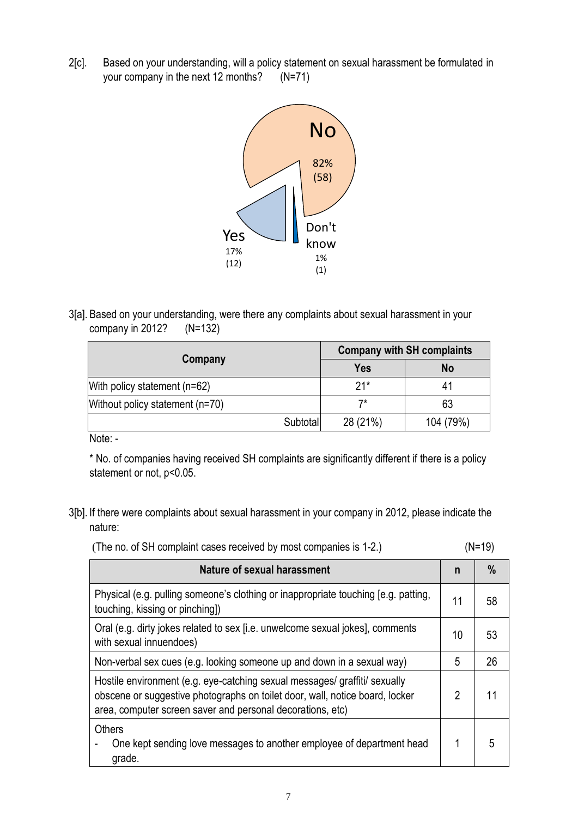2[c]. Based on your understanding, will a policy statement on sexual harassment be formulated in your company in the next 12 months? (N=71)



3[a]. Based on your understanding, were there any complaints about sexual harassment in your company in 2012? (N=132)

| <b>Company with SH complaints</b> |           |  |
|-----------------------------------|-----------|--|
| <b>Yes</b>                        | <b>No</b> |  |
| $21*$                             | 41        |  |
| 7*                                | 63        |  |
| 28 (21%)<br>Subtotal              | 104 (79%) |  |
|                                   |           |  |

Note: -

\* No. of companies having received SH complaints are significantly different if there is a policy statement or not, p<0.05.

3[b]. If there were complaints about sexual harassment in your company in 2012, please indicate the nature:

| $(N=19)$<br>(The no. of SH complaint cases received by most companies is 1-2.) |
|--------------------------------------------------------------------------------|
|--------------------------------------------------------------------------------|

| <b>Nature of sexual harassment</b>                                                                                                                                                                                       |    | %  |
|--------------------------------------------------------------------------------------------------------------------------------------------------------------------------------------------------------------------------|----|----|
| Physical (e.g. pulling someone's clothing or inappropriate touching [e.g. patting,<br>touching, kissing or pinching])                                                                                                    | 11 | 58 |
| Oral (e.g. dirty jokes related to sex [i.e. unwelcome sexual jokes], comments<br>with sexual innuendoes)                                                                                                                 | 10 | 53 |
| Non-verbal sex cues (e.g. looking someone up and down in a sexual way)                                                                                                                                                   | 5  | 26 |
| Hostile environment (e.g. eye-catching sexual messages/ graffiti/ sexually<br>obscene or suggestive photographs on toilet door, wall, notice board, locker<br>area, computer screen saver and personal decorations, etc) |    | 11 |
| <b>Others</b><br>One kept sending love messages to another employee of department head<br>grade.                                                                                                                         | 1  | 5  |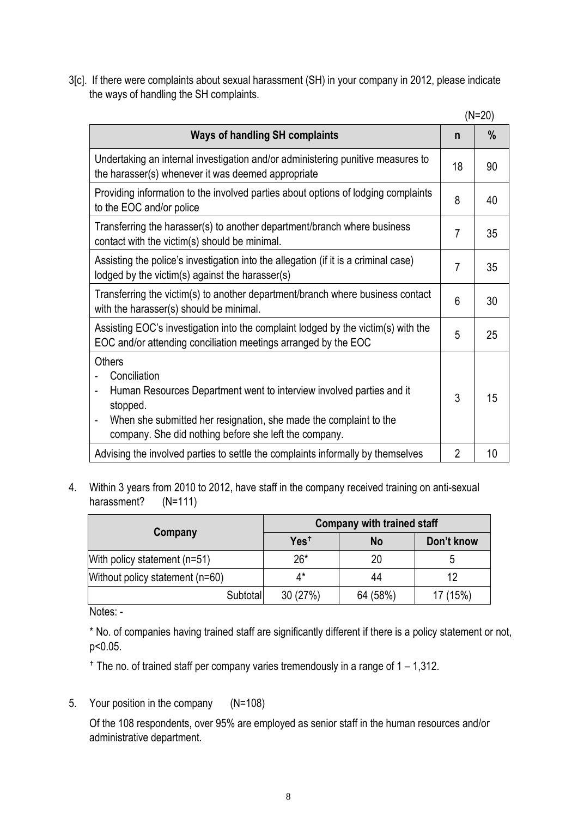3[c]. If there were complaints about sexual harassment (SH) in your company in 2012, please indicate the ways of handling the SH complaints.

|                                                                                                                                                                                                                                                                                 |                | $(N=20)$ |
|---------------------------------------------------------------------------------------------------------------------------------------------------------------------------------------------------------------------------------------------------------------------------------|----------------|----------|
| <b>Ways of handling SH complaints</b>                                                                                                                                                                                                                                           | n              | %        |
| Undertaking an internal investigation and/or administering punitive measures to<br>the harasser(s) whenever it was deemed appropriate                                                                                                                                           | 18             | 90       |
| Providing information to the involved parties about options of lodging complaints<br>to the EOC and/or police                                                                                                                                                                   | 8              | 40       |
| Transferring the harasser(s) to another department/branch where business<br>contact with the victim(s) should be minimal.                                                                                                                                                       | $\overline{7}$ | 35       |
| Assisting the police's investigation into the allegation (if it is a criminal case)<br>lodged by the victim(s) against the harasser(s)                                                                                                                                          | $\overline{7}$ | 35       |
| Transferring the victim(s) to another department/branch where business contact<br>with the harasser(s) should be minimal.                                                                                                                                                       | 6              | 30       |
| Assisting EOC's investigation into the complaint lodged by the victim(s) with the<br>EOC and/or attending conciliation meetings arranged by the EOC                                                                                                                             | 5              | 25       |
| <b>Others</b><br>Conciliation<br>Human Resources Department went to interview involved parties and it<br>stopped.<br>When she submitted her resignation, she made the complaint to the<br>$\qquad \qquad \blacksquare$<br>company. She did nothing before she left the company. | 3              | 15       |
| Advising the involved parties to settle the complaints informally by themselves                                                                                                                                                                                                 | $\overline{2}$ | 10       |

4. Within 3 years from 2010 to 2012, have staff in the company received training on anti-sexual harassment? (N=111)

|                                 | <b>Company with trained staff</b> |          |            |
|---------------------------------|-----------------------------------|----------|------------|
| Company                         | Yes <sup>+</sup>                  | No       | Don't know |
| With policy statement (n=51)    | $26*$                             | 20       | ე          |
| Without policy statement (n=60) | ∆*                                | 44       | 12         |
| Subtotal                        | 30(27%)                           | 64 (58%) | 17 (15%)   |

Notes: -

\* No. of companies having trained staff are significantly different if there is a policy statement or not, p<0.05.

 $+$  The no. of trained staff per company varies tremendously in a range of  $1 - 1,312$ .

5. Your position in the company (N=108)

Of the 108 respondents, over 95% are employed as senior staff in the human resources and/or administrative department.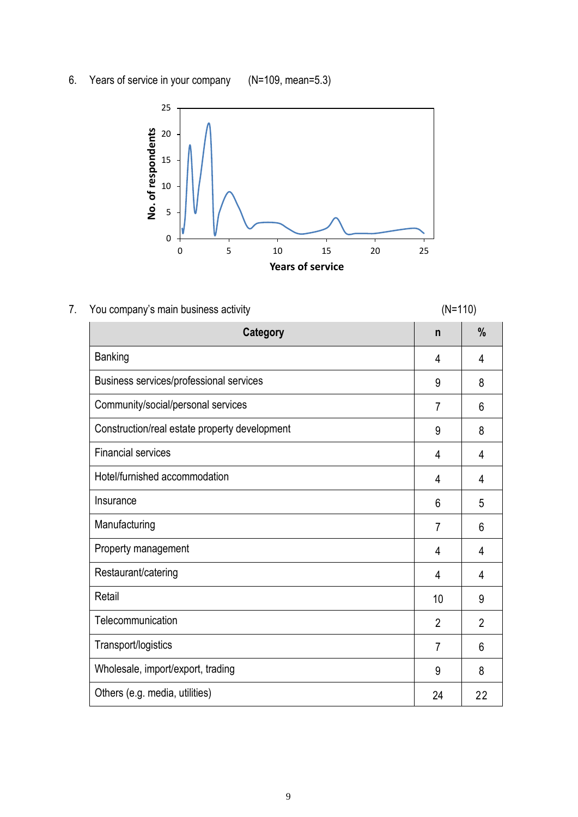6. Years of service in your company (N=109, mean=5.3)



## 7. You company's main business activity example to the state of the (N=110)

| <b>Category</b>                               | $\mathsf{n}$   | %              |
|-----------------------------------------------|----------------|----------------|
| <b>Banking</b>                                | 4              | 4              |
| Business services/professional services       | 9              | 8              |
| Community/social/personal services            | $\overline{7}$ | 6              |
| Construction/real estate property development | 9              | 8              |
| <b>Financial services</b>                     | 4              | 4              |
| Hotel/furnished accommodation                 | 4              | 4              |
| Insurance                                     | 6              | 5              |
| Manufacturing                                 | $\overline{7}$ | 6              |
| Property management                           | 4              | 4              |
| Restaurant/catering                           | 4              | 4              |
| Retail                                        | 10             | 9              |
| Telecommunication                             | $\overline{2}$ | $\overline{2}$ |
| Transport/logistics                           | 7              | 6              |
| Wholesale, import/export, trading             | 9              | 8              |
| Others (e.g. media, utilities)                | 24             | 22             |